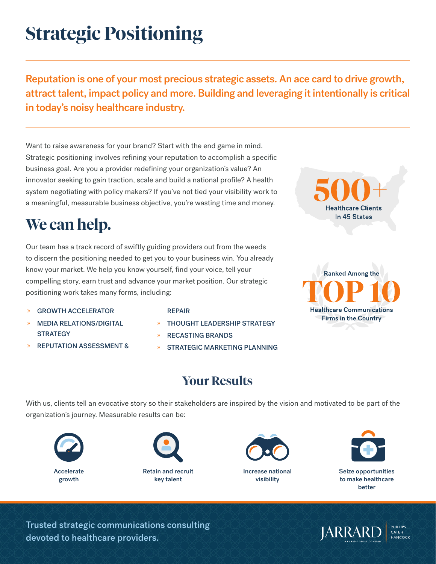# **Strategic Positioning**

Reputation is one of your most precious strategic assets. An ace card to drive growth, attract talent, impact policy and more. Building and leveraging it intentionally is critical in today's noisy healthcare industry.

Want to raise awareness for your brand? Start with the end game in mind. Strategic positioning involves refining your reputation to accomplish a specific business goal. Are you a provider redefining your organization's value? An innovator seeking to gain traction, scale and build a national profile? A health system negotiating with policy makers? If you've not tied your visibility work to a meaningful, measurable business objective, you're wasting time and money.

## **We can help.**

Our team has a track record of swiftly guiding providers out from the weeds to discern the positioning needed to get you to your business win. You already know your market. We help you know yourself, find your voice, tell your compelling story, earn trust and advance your market position. Our strategic positioning work takes many forms, including:

- » GROWTH ACCELERATOR
- » MEDIA RELATIONS/DIGITAL **STRATEGY**
- » REPUTATION ASSESSMENT &

#### REPAIR

- » THOUGHT LEADERSHIP STRATEGY
- » RECASTING BRANDS
- » STRATEGIC MARKETING PLANNING



**Healthcare Clients** In 45 States

### **Your Results**

With us, clients tell an evocative story so their stakeholders are inspired by the vision and motivated to be part of the organization's journey. Measurable results can be:













Trusted strategic communications consulting devoted to healthcare providers.